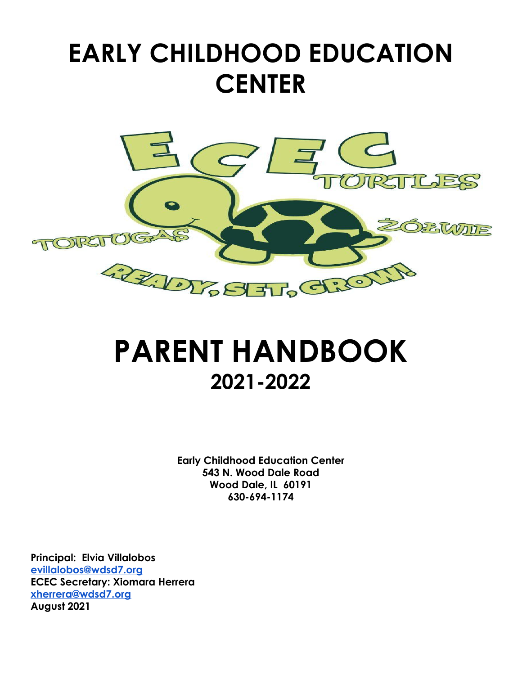# **EARLY CHILDHOOD EDUCATION CENTER**



# **PARENT HANDBOOK 2021-2022**

**Early Childhood Education Center 543 N. Wood Dale Road Wood Dale, IL 60191 630-694-1174**

**Principal: Elvia Villalobos [evillalobos@wdsd7.org](mailto:evillalobos@wdsd7.org) ECEC Secretary: Xiomara Herrera [xherrera@wdsd7.org](mailto:xherrera@wdsd7.org) August 2021**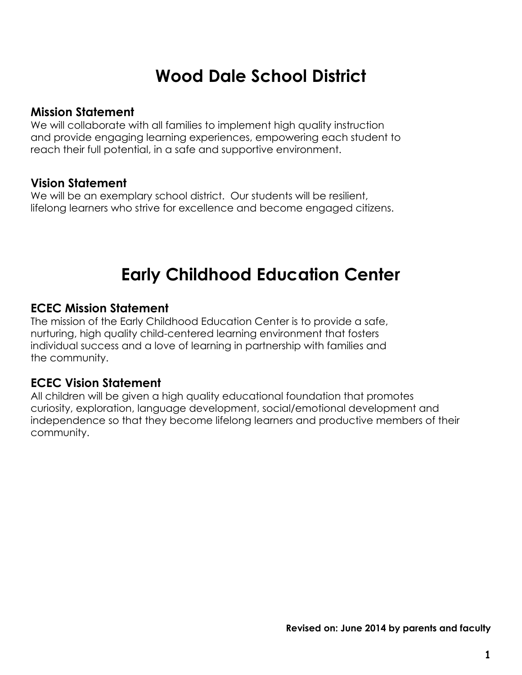# **Wood Dale School District**

#### **Mission Statement**

We will collaborate with all families to implement high quality instruction and provide engaging learning experiences, empowering each student to reach their full potential, in a safe and supportive environment.

#### **Vision Statement**

We will be an exemplary school district. Our students will be resilient, lifelong learners who strive for excellence and become engaged citizens.

## **Early Childhood Education Center**

#### **ECEC Mission Statement**

The mission of the Early Childhood Education Center is to provide a safe, nurturing, high quality child-centered learning environment that fosters individual success and a love of learning in partnership with families and the community.

#### **ECEC Vision Statement**

All children will be given a high quality educational foundation that promotes curiosity, exploration, language development, social/emotional development and independence so that they become lifelong learners and productive members of their community.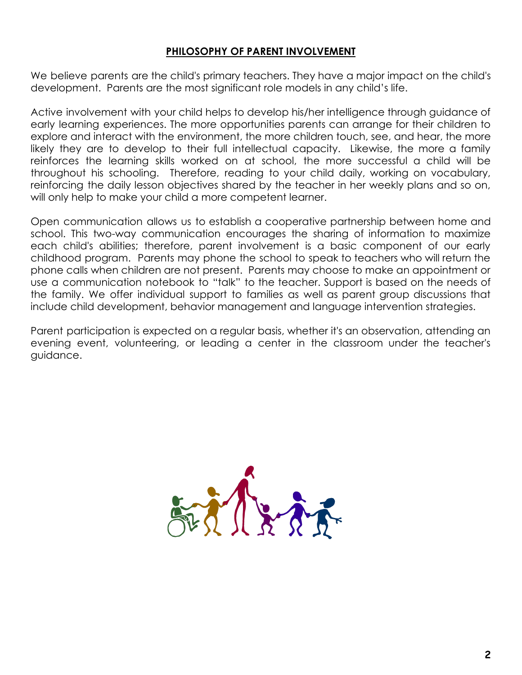#### **PHILOSOPHY OF PARENT INVOLVEMENT**

We believe parents are the child's primary teachers. They have a major impact on the child's development. Parents are the most significant role models in any child's life.

Active involvement with your child helps to develop his/her intelligence through guidance of early learning experiences. The more opportunities parents can arrange for their children to explore and interact with the environment, the more children touch, see, and hear, the more likely they are to develop to their full intellectual capacity. Likewise, the more a family reinforces the learning skills worked on at school, the more successful a child will be throughout his schooling. Therefore, reading to your child daily, working on vocabulary, reinforcing the daily lesson objectives shared by the teacher in her weekly plans and so on, will only help to make your child a more competent learner.

Open communication allows us to establish a cooperative partnership between home and school. This two-way communication encourages the sharing of information to maximize each child's abilities; therefore, parent involvement is a basic component of our early childhood program. Parents may phone the school to speak to teachers who will return the phone calls when children are not present. Parents may choose to make an appointment or use a communication notebook to "talk" to the teacher. Support is based on the needs of the family. We offer individual support to families as well as parent group discussions that include child development, behavior management and language intervention strategies.

Parent participation is expected on a regular basis, whether it's an observation, attending an evening event, volunteering, or leading a center in the classroom under the teacher's guidance.

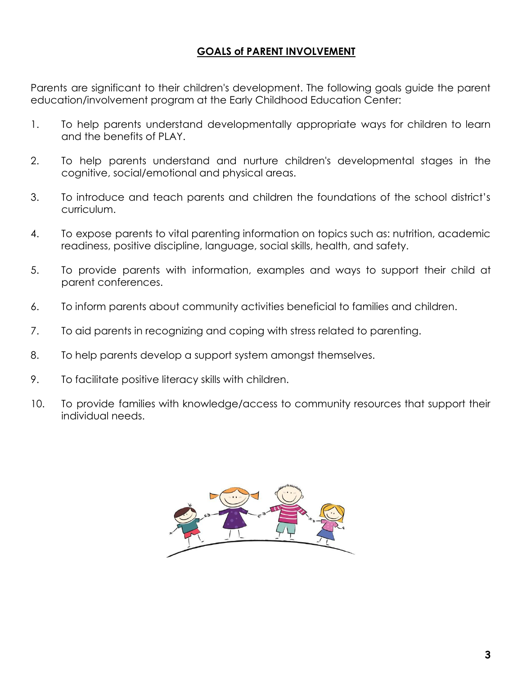#### **GOALS of PARENT INVOLVEMENT**

Parents are significant to their children's development. The following goals guide the parent education/involvement program at the Early Childhood Education Center:

- 1. To help parents understand developmentally appropriate ways for children to learn and the benefits of PLAY.
- 2. To help parents understand and nurture children's developmental stages in the cognitive, social/emotional and physical areas.
- 3. To introduce and teach parents and children the foundations of the school district's curriculum.
- 4. To expose parents to vital parenting information on topics such as: nutrition, academic readiness, positive discipline, language, social skills, health, and safety.
- 5. To provide parents with information, examples and ways to support their child at parent conferences.
- 6. To inform parents about community activities beneficial to families and children.
- 7. To aid parents in recognizing and coping with stress related to parenting.
- 8. To help parents develop a support system amongst themselves.
- 9. To facilitate positive literacy skills with children.
- 10. To provide families with knowledge/access to community resources that support their individual needs.

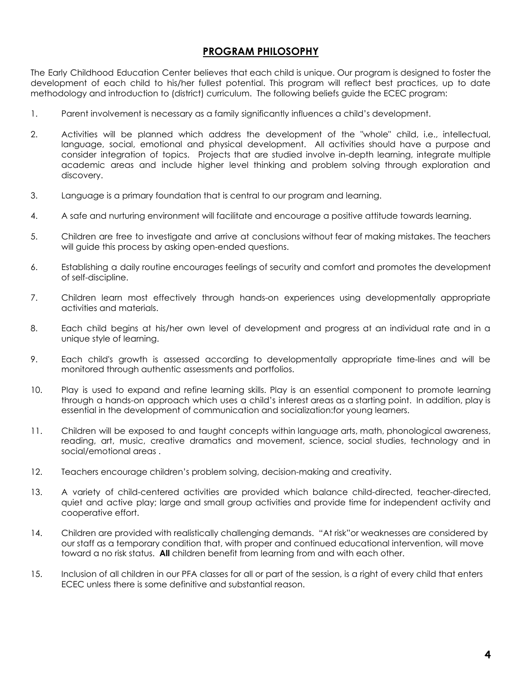#### **PROGRAM PHILOSOPHY**

The Early Childhood Education Center believes that each child is unique. Our program is designed to foster the development of each child to his/her fullest potential. This program will reflect best practices, up to date methodology and introduction to (district) curriculum. The following beliefs guide the ECEC program:

- 1. Parent involvement is necessary as a family significantly influences a child's development.
- 2. Activities will be planned which address the development of the "whole" child, i.e., intellectual, language, social, emotional and physical development. All activities should have a purpose and consider integration of topics. Projects that are studied involve in-depth learning, integrate multiple academic areas and include higher level thinking and problem solving through exploration and discovery.
- 3. Language is a primary foundation that is central to our program and learning.
- 4. A safe and nurturing environment will facilitate and encourage a positive attitude towards learning.
- 5. Children are free to investigate and arrive at conclusions without fear of making mistakes. The teachers will guide this process by asking open-ended questions.
- 6. Establishing a daily routine encourages feelings of security and comfort and promotes the development of self-discipline.
- 7. Children learn most effectively through hands-on experiences using developmentally appropriate activities and materials.
- 8. Each child begins at his/her own level of development and progress at an individual rate and in a unique style of learning.
- 9. Each child's growth is assessed according to developmentally appropriate time-lines and will be monitored through authentic assessments and portfolios.
- 10. Play is used to expand and refine learning skills. Play is an essential component to promote learning through a hands-on approach which uses a child's interest areas as a starting point. In addition, play is essential in the development of communication and socialization:for young learners.
- 11. Children will be exposed to and taught concepts within language arts, math, phonological awareness, reading, art, music, creative dramatics and movement, science, social studies, technology and in social/emotional areas .
- 12. Teachers encourage children's problem solving, decision-making and creativity.
- 13. A variety of child-centered activities are provided which balance child-directed, teacher-directed, quiet and active play; large and small group activities and provide time for independent activity and cooperative effort.
- 14. Children are provided with realistically challenging demands. "At risk"or weaknesses are considered by our staff as a temporary condition that, with proper and continued educational intervention, will move toward a no risk status. **All** children benefit from learning from and with each other.
- 15. Inclusion of all children in our PFA classes for all or part of the session, is a right of every child that enters ECEC unless there is some definitive and substantial reason.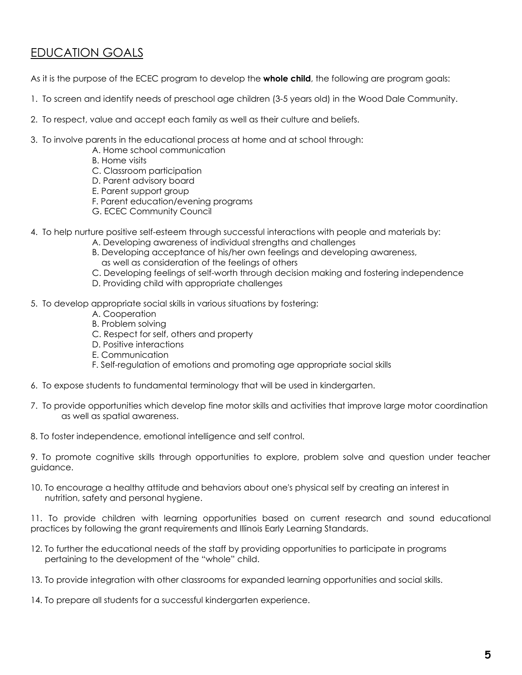### EDUCATION GOALS

As it is the purpose of the ECEC program to develop the **whole child**, the following are program goals:

- 1. To screen and identify needs of preschool age children (3-5 years old) in the Wood Dale Community.
- 2. To respect, value and accept each family as well as their culture and beliefs.
- 3. To involve parents in the educational process at home and at school through:
	- A. Home school communication
		- B. Home visits
	- C. Classroom participation
	- D. Parent advisory board
	- E. Parent support group
	- F. Parent education/evening programs
	- G. ECEC Community Council
- 4. To help nurture positive self-esteem through successful interactions with people and materials by:
	- A. Developing awareness of individual strengths and challenges
	- B. Developing acceptance of his/her own feelings and developing awareness, as well as consideration of the feelings of others
	- C. Developing feelings of self-worth through decision making and fostering independence
	- D. Providing child with appropriate challenges
- 5. To develop appropriate social skills in various situations by fostering:
	- A. Cooperation
	- B. Problem solving
	- C. Respect for self, others and property
	- D. Positive interactions
	- E. Communication
	- F. Self-regulation of emotions and promoting age appropriate social skills
- 6. To expose students to fundamental terminology that will be used in kindergarten.
- 7. To provide opportunities which develop fine motor skills and activities that improve large motor coordination as well as spatial awareness.
- 8. To foster independence, emotional intelligence and self control.

9. To promote cognitive skills through opportunities to explore, problem solve and question under teacher guidance.

10. To encourage a healthy attitude and behaviors about one's physical self by creating an interest in nutrition, safety and personal hygiene.

11. To provide children with learning opportunities based on current research and sound educational practices by following the grant requirements and Illinois Early Learning Standards.

- 12. To further the educational needs of the staff by providing opportunities to participate in programs pertaining to the development of the "whole" child.
- 13. To provide integration with other classrooms for expanded learning opportunities and social skills.
- 14. To prepare all students for a successful kindergarten experience.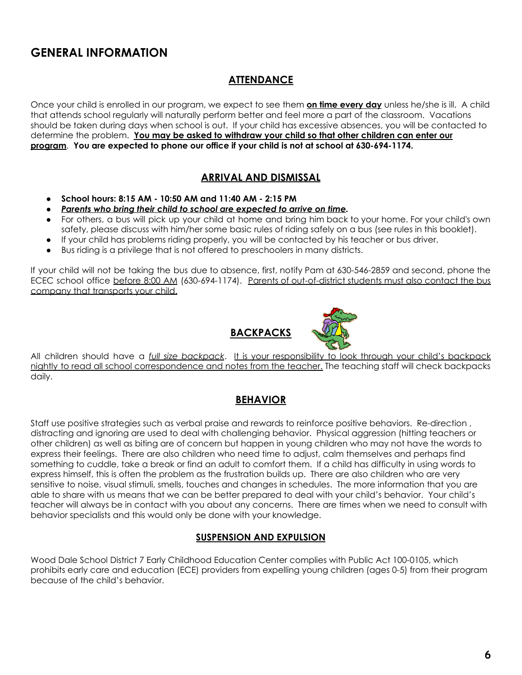### **GENERAL INFORMATION**

#### **ATTENDANCE**

Once your child is enrolled in our program, we expect to see them **on time every day** unless he/she is ill. A child that attends school regularly will naturally perform better and feel more a part of the classroom. Vacations should be taken during days when school is out. If your child has excessive absences, you will be contacted to determine the problem. **You may be asked to withdraw your child so that other children can enter our program**. **You are expected to phone our office if your child is not at school at 630-694-1174.**

#### **ARRIVAL AND DISMISSAL**

- **● School hours: 8:15 AM - 10:50 AM and 11:40 AM - 2:15 PM**
- **●** *Parents who bring their child to school are expected to arrive on time.*
- For others, a bus will pick up your child at home and bring him back to your home. For your child's own safety, please discuss with him/her some basic rules of riding safely on a bus (see rules in this booklet).
- If your child has problems riding properly, you will be contacted by his teacher or bus driver.
- Bus riding is a privilege that is not offered to preschoolers in many districts.

If your child will not be taking the bus due to absence, first, notify Pam at 630-546-2859 and second, phone the ECEC school office before 8:00 AM (630-694-1174). Parents of out-of-district students must also contact the bus company that transports your child.



All children should have a *full size backpack*. It is your responsibility to look through your child's backpack nightly to read all school correspondence and notes from the teacher. The teaching staff will check backpacks daily.

#### **BEHAVIOR**

Staff use positive strategies such as verbal praise and rewards to reinforce positive behaviors. Re-direction , distracting and ignoring are used to deal with challenging behavior. Physical aggression (hitting teachers or other children) as well as biting are of concern but happen in young children who may not have the words to express their feelings. There are also children who need time to adjust, calm themselves and perhaps find something to cuddle, take a break or find an adult to comfort them. If a child has difficulty in using words to express himself, this is often the problem as the frustration builds up. There are also children who are very sensitive to noise, visual stimuli, smells, touches and changes in schedules. The more information that you are able to share with us means that we can be better prepared to deal with your child's behavior. Your child's teacher will always be in contact with you about any concerns. There are times when we need to consult with behavior specialists and this would only be done with your knowledge.

#### **SUSPENSION AND EXPULSION**

Wood Dale School District 7 Early Childhood Education Center complies with Public Act 100-0105, which prohibits early care and education (ECE) providers from expelling young children (ages 0-5) from their program because of the child's behavior.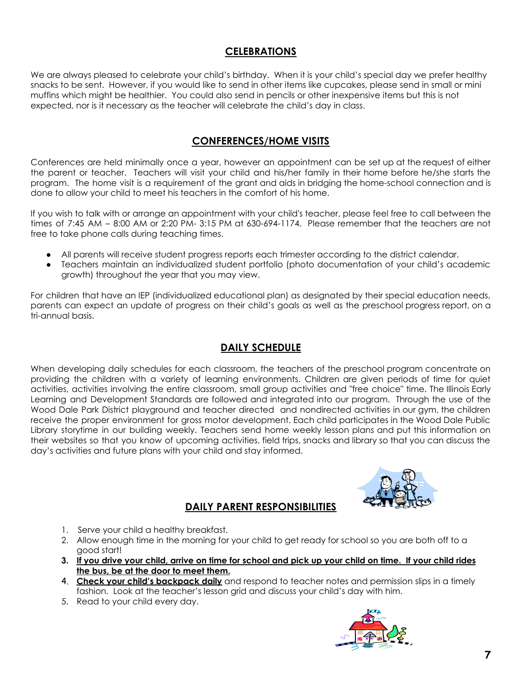#### **CELEBRATIONS**

We are always pleased to celebrate your child's birthday. When it is your child's special day we prefer healthy snacks to be sent. However, if you would like to send in other items like cupcakes, please send in small or mini muffins which might be healthier. You could also send in pencils or other inexpensive items but this is not expected, nor is it necessary as the teacher will celebrate the child's day in class.

#### **CONFERENCES/HOME VISITS**

Conferences are held minimally once a year, however an appointment can be set up at the request of either the parent or teacher. Teachers will visit your child and his/her family in their home before he/she starts the program. The home visit is a requirement of the grant and aids in bridging the home-school connection and is done to allow your child to meet his teachers in the comfort of his home.

If you wish to talk with or arrange an appointment with your child's teacher, please feel free to call between the times of 7:45 AM – 8:00 AM or 2:20 PM- 3:15 PM at 630-694-1174. Please remember that the teachers are not free to take phone calls during teaching times.

- All parents will receive student progress reports each trimester according to the district calendar.
- Teachers maintain an individualized student portfolio (photo documentation of your child's academic growth) throughout the year that you may view.

For children that have an IEP (individualized educational plan) as designated by their special education needs, parents can expect an update of progress on their child's goals as well as the preschool progress report, on a tri-annual basis.

#### **DAILY SCHEDULE**

When developing daily schedules for each classroom, the teachers of the preschool program concentrate on providing the children with a variety of learning environments. Children are given periods of time for quiet activities, activities involving the entire classroom, small group activities and "free choice" time. The Illinois Early Learning and Development Standards are followed and integrated into our program. Through the use of the Wood Dale Park District playground and teacher directed and nondirected activities in our gym, the children receive the proper environment for gross motor development. Each child participates in the Wood Dale Public Library storytime in our building weekly. Teachers send home weekly lesson plans and put this information on their websites so that you know of upcoming activities, field trips, snacks and library so that you can discuss the day's activities and future plans with your child and stay informed.

#### **DAILY PARENT RESPONSIBILITIES**



- 1. Serve your child a healthy breakfast.
- 2. Allow enough time in the morning for your child to get ready for school so you are both off to a good start!
- 3. If you drive your child, arrive on time for school and pick up your child on time. If your child rides **the bus, be at the door to meet them.**
- 4. **Check your child's backpack daily** and respond to teacher notes and permission slips in a timely fashion. Look at the teacher's lesson grid and discuss your child's day with him.
- 5. Read to your child every day.

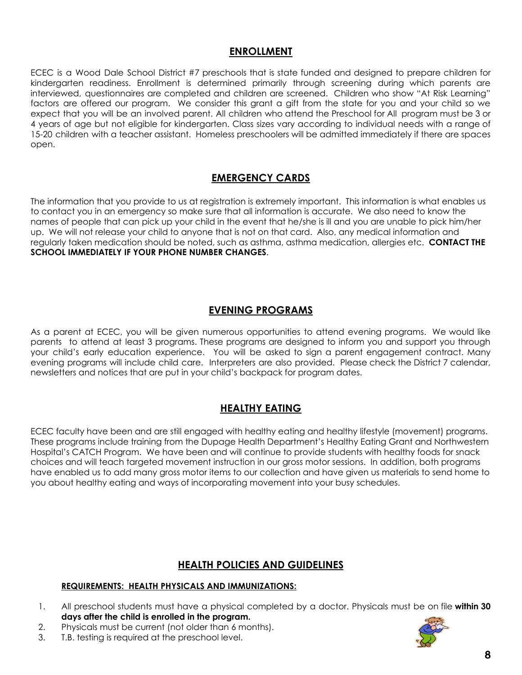#### **ENROLLMENT**

ECEC is a Wood Dale School District #7 preschools that is state funded and designed to prepare children for kindergarten readiness. Enrollment is determined primarily through screening during which parents are interviewed, questionnaires are completed and children are screened. Children who show "At Risk Learning" factors are offered our program. We consider this grant a gift from the state for you and your child so we expect that you will be an involved parent. All children who attend the Preschool for All program must be 3 or 4 years of age but not eligible for kindergarten. Class sizes vary according to individual needs with a range of 15-20 children with a teacher assistant. Homeless preschoolers will be admitted immediately if there are spaces open.

#### **EMERGENCY CARDS**

The information that you provide to us at registration is extremely important. This information is what enables us to contact you in an emergency so make sure that all information is accurate. We also need to know the names of people that can pick up your child in the event that he/she is ill and you are unable to pick him/her up. We will not release your child to anyone that is not on that card. Also, any medical information and regularly taken medication should be noted, such as asthma, asthma medication, allergies etc. **CONTACT THE SCHOOL IMMEDIATELY IF YOUR PHONE NUMBER CHANGES**.

#### **EVENING PROGRAMS**

As a parent at ECEC, you will be given numerous opportunities to attend evening programs. We would like parents to attend at least 3 programs. These programs are designed to inform you and support you through your child's early education experience. You will be asked to sign a parent engagement contract. Many evening programs will include child care. Interpreters are also provided. Please check the District 7 calendar, newsletters and notices that are put in your child's backpack for program dates.

#### **HEALTHY EATING**

ECEC faculty have been and are still engaged with healthy eating and healthy lifestyle (movement) programs. These programs include training from the Dupage Health Department's Healthy Eating Grant and Northwestern Hospital's CATCH Program. We have been and will continue to provide students with healthy foods for snack choices and will teach targeted movement instruction in our gross motor sessions. In addition, both programs have enabled us to add many gross motor items to our collection and have given us materials to send home to you about healthy eating and ways of incorporating movement into your busy schedules.

#### **HEALTH POLICIES AND GUIDELINES**

#### **REQUIREMENTS: HEALTH PHYSICALS AND IMMUNIZATIONS:**

- 1. All preschool students must have a physical completed by a doctor. Physicals must be on file **within 30 days after the child is enrolled in the program.**
- 2. Physicals must be current (not older than 6 months).
- 3. T.B. testing is required at the preschool level.

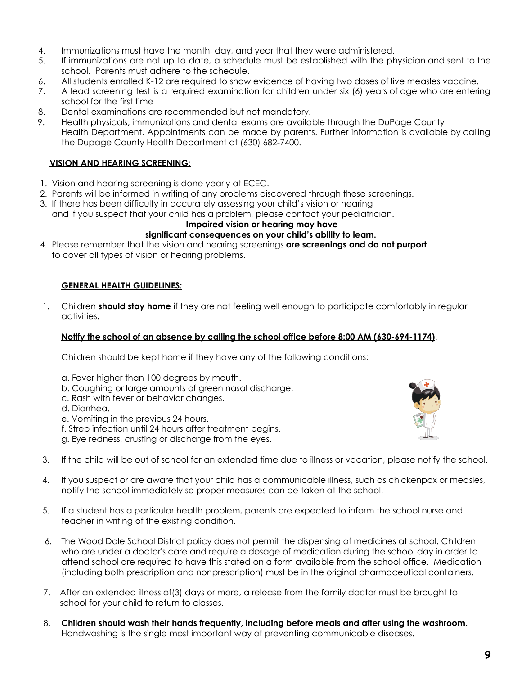- 4. Immunizations must have the month, day, and year that they were administered.
- 5. If immunizations are not up to date, a schedule must be established with the physician and sent to the school. Parents must adhere to the schedule.
- 6. All students enrolled K-12 are required to show evidence of having two doses of live measles vaccine.
- 7. A lead screening test is a required examination for children under six (6) years of age who are entering school for the first time
- 8. Dental examinations are recommended but not mandatory.
- 9. Health physicals, immunizations and dental exams are available through the DuPage County Health Department. Appointments can be made by parents. Further information is available by calling the Dupage County Health Department at (630) 682-7400.

#### **VISION AND HEARING SCREENING:**

- 1. Vision and hearing screening is done yearly at ECEC.
- 2. Parents will be informed in writing of any problems discovered through these screenings.
- 3. If there has been difficulty in accurately assessing your child's vision or hearing and if you suspect that your child has a problem, please contact your pediatrician.

#### **Impaired vision or hearing may have**

#### **significant consequences on your child's ability to learn.**

4. Please remember that the vision and hearing screenings **are screenings and do not purport** to cover all types of vision or hearing problems.

#### **GENERAL HEALTH GUIDELINES:**

1. Children **should stay home** if they are not feeling well enough to participate comfortably in regular activities.

#### **Notify the school of an absence by calling the school office before 8:00 AM (630-694-1174)**.

Children should be kept home if they have any of the following conditions:

- a. Fever higher than 100 degrees by mouth.
- b. Coughing or large amounts of green nasal discharge.
- c. Rash with fever or behavior changes.
- d. Diarrhea.
- e. Vomiting in the previous 24 hours.
- f. Strep infection until 24 hours after treatment begins.
- g. Eye redness, crusting or discharge from the eyes.



- 3. If the child will be out of school for an extended time due to illness or vacation, please notify the school.
- 4. If you suspect or are aware that your child has a communicable illness, such as chickenpox or measles, notify the school immediately so proper measures can be taken at the school.
- 5. If a student has a particular health problem, parents are expected to inform the school nurse and teacher in writing of the existing condition.
- 6. The Wood Dale School District policy does not permit the dispensing of medicines at school. Children who are under a doctor's care and require a dosage of medication during the school day in order to attend school are required to have this stated on a form available from the school office. Medication (including both prescription and nonprescription) must be in the original pharmaceutical containers.
- 7. After an extended illness of(3) days or more, a release from the family doctor must be brought to school for your child to return to classes.
- 8. **Children should wash their hands frequently, including before meals and after using the washroom.** Handwashing is the single most important way of preventing communicable diseases.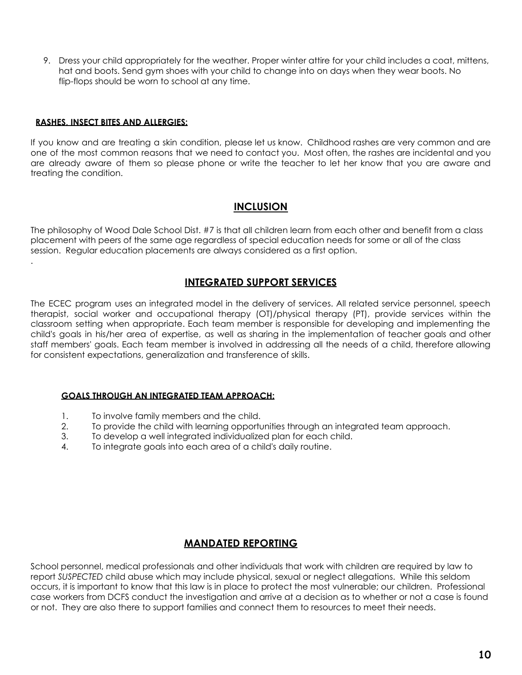9. Dress your child appropriately for the weather. Proper winter attire for your child includes a coat, mittens, hat and boots. Send gym shoes with your child to change into on days when they wear boots. No flip-flops should be worn to school at any time.

#### **RASHES, INSECT BITES AND ALLERGIES:**

.

If you know and are treating a skin condition, please let us know. Childhood rashes are very common and are one of the most common reasons that we need to contact you. Most often, the rashes are incidental and you are already aware of them so please phone or write the teacher to let her know that you are aware and treating the condition.

#### **INCLUSION**

The philosophy of Wood Dale School Dist. #7 is that all children learn from each other and benefit from a class placement with peers of the same age regardless of special education needs for some or all of the class session. Regular education placements are always considered as a first option.

#### **INTEGRATED SUPPORT SERVICES**

The ECEC program uses an integrated model in the delivery of services. All related service personnel, speech therapist, social worker and occupational therapy (OT)/physical therapy (PT), provide services within the classroom setting when appropriate. Each team member is responsible for developing and implementing the child's goals in his/her area of expertise, as well as sharing in the implementation of teacher goals and other staff members' goals. Each team member is involved in addressing all the needs of a child, therefore allowing for consistent expectations, generalization and transference of skills.

#### **GOALS THROUGH AN INTEGRATED TEAM APPROACH:**

- 1. To involve family members and the child.
- 2. To provide the child with learning opportunities through an integrated team approach.
- 3. To develop a well integrated individualized plan for each child.
- 4. To integrate goals into each area of a child's daily routine.

#### **MANDATED REPORTING**

School personnel, medical professionals and other individuals that work with children are required by law to report *SUSPECTED* child abuse which may include physical, sexual or neglect allegations. While this seldom occurs, it is important to know that this law is in place to protect the most vulnerable; our children. Professional case workers from DCFS conduct the investigation and arrive at a decision as to whether or not a case is found or not. They are also there to support families and connect them to resources to meet their needs.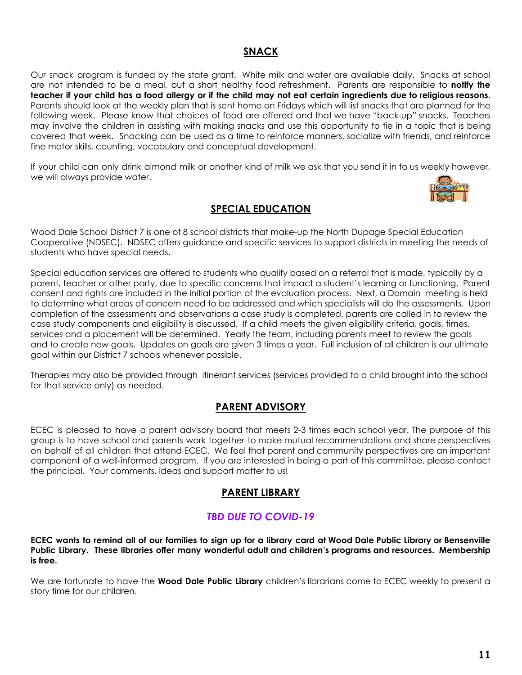#### **SNACK**

Our snack program is funded by the state grant. White milk and water are available daily. Snacks at school are not intended to be a meal, but a short healthy food refreshment. Parents are responsible to **notify the** teacher if your child has a food allergy or if the child may not eat certain ingredients due to religious reasons. Parents should look at the weekly plan that is sent home on Fridays which will list snacks that are planned for the following week. Please know that choices of food are offered and that we have "back-up" snacks. Teachers may involve the children in assisting with making snacks and use this opportunity to tie in a topic that is being covered that week. Snacking can be used as a time to reinforce manners, socialize with friends, and reinforce fine motor skills, counting, vocabulary and conceptual development.

If your child can only drink almond milk or another kind of milk we ask that you send it in to us weekly however, we will always provide water.



#### **SPECIAL EDUCATION**

Wood Dale School District 7 is one of 8 school districts that make-up the North Dupage Special Education Cooperative (NDSEC). NDSEC offers guidance and specific services to support districts in meeting the needs of students who have special needs.

Special education services are offered to students who qualify based on a referral that is made, typically by a parent, teacher or other party, due to specific concerns that impact a student's learning or functioning. Parent consent and rights are included in the initial portion of the evaluation process. Next, a Domain meeting is held to determine what areas of concern need to be addressed and which specialists will do the assessments. Upon completion of the assessments and observations a case study is completed, parents are called in to review the case study components and eligibility is discussed. If a child meets the given eligibility criteria, goals, times, services and a placement will be determined. Yearly the team, including parents meet to review the goals and to create new goals. Updates on goals are given 3 times a year. Full inclusion of all children is our ultimate goal within our District 7 schools whenever possible.

Therapies may also be provided through itinerant services (services provided to a child brought into the school for that service only) as needed.

#### **PARENT ADVISORY**

ECEC is pleased to have a parent advisory board that meets 2-3 times each school year. The purpose of this group is to have school and parents work together to make mutual recommendations and share perspectives on behalf of all children that attend ECEC. We feel that parent and community perspectives are an important component of a well-informed program. If you are interested in being a part of this committee, please contact the principal. Your comments, ideas and support matter to us!

#### **PARENT LIBRARY**

#### *TBD DUE TO COVID-19*

ECEC wants to remind all of our families to sign up for a library card at Wood Dale Public Library or Bensenville **Public Library. These libraries offer many wonderful adult and children's programs and resources. Membership is free.**

We are fortunate to have the **Wood Dale Public Library** children's librarians come to ECEC weekly to present a story time for our children.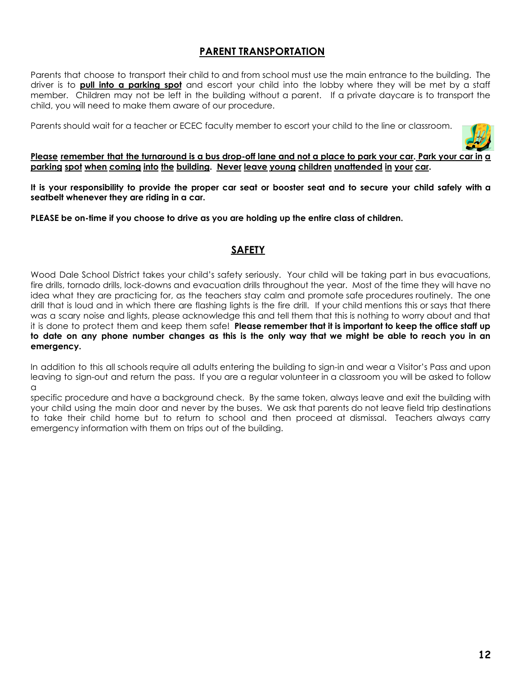#### **PARENT TRANSPORTATION**

Parents that choose to transport their child to and from school must use the main entrance to the building. The driver is to **pull into a parking spot** and escort your child into the lobby where they will be met by a staff member. Children may not be left in the building without a parent. If a private daycare is to transport the child, you will need to make them aware of our procedure.

Parents should wait for a teacher or ECEC faculty member to escort your child to the line or classroom.



Please remember that the turnaround is a bus drop-off lane and not a place to park your car. Park your car in a **parking spot when coming into the building. Never leave young children unattended in your car.**

It is your responsibility to provide the proper car seat or booster seat and to secure your child safely with a **seatbelt whenever they are riding in a car.**

**PLEASE be on-time if you choose to drive as you are holding up the entire class of children.**

#### **SAFETY**

Wood Dale School District takes your child's safety seriously. Your child will be taking part in bus evacuations, fire drills, tornado drills, lock-downs and evacuation drills throughout the year. Most of the time they will have no idea what they are practicing for, as the teachers stay calm and promote safe procedures routinely. The one drill that is loud and in which there are flashing lights is the fire drill. If your child mentions this or says that there was a scary noise and lights, please acknowledge this and tell them that this is nothing to worry about and that it is done to protect them and keep them safe! **Please remember that it is important to keep the office staff up** to date on any phone number changes as this is the only way that we might be able to reach you in an **emergency.**

In addition to this all schools require all adults entering the building to sign-in and wear a Visitor's Pass and upon leaving to sign-out and return the pass. If you are a regular volunteer in a classroom you will be asked to follow  $\Omega$ 

specific procedure and have a background check. By the same token, always leave and exit the building with your child using the main door and never by the buses. We ask that parents do not leave field trip destinations to take their child home but to return to school and then proceed at dismissal. Teachers always carry emergency information with them on trips out of the building.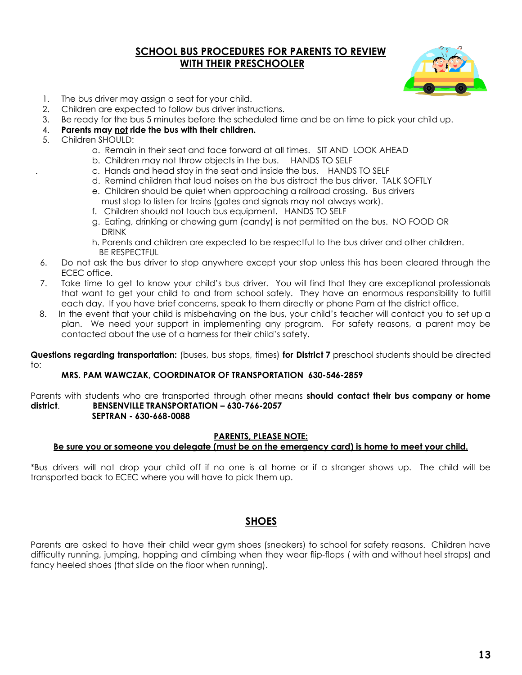#### **SCHOOL BUS PROCEDURES FOR PARENTS TO REVIEW WITH THEIR PRESCHOOLER**



- 1. The bus driver may assign a seat for your child.
- 2. Children are expected to follow bus driver instructions.
- 3. Be ready for the bus 5 minutes before the scheduled time and be on time to pick your child up.
- 4. **Parents may not ride the bus with their children.**
- 5. Children SHOULD:
	- a. Remain in their seat and face forward at all times. SIT AND LOOK AHEAD
	- b. Children may not throw objects in the bus. HANDS TO SELF
	- . c. Hands and head stay in the seat and inside the bus. HANDS TO SELF
	- d. Remind children that loud noises on the bus distract the bus driver. TALK SOFTLY
	- e. Children should be quiet when approaching a railroad crossing. Bus drivers
	- must stop to listen for trains (gates and signals may not always work). f. Children should not touch bus equipment. HANDS TO SELF
	- g. Eating, drinking or chewing gum (candy) is not permitted on the bus. NO FOOD OR DRINK
	- h. Parents and children are expected to be respectful to the bus driver and other children. BE RESPECTFUL
- 6. Do not ask the bus driver to stop anywhere except your stop unless this has been cleared through the ECEC office.
- 7. Take time to get to know your child's bus driver. You will find that they are exceptional professionals that want to get your child to and from school safely. They have an enormous responsibility to fulfill each day. If you have brief concerns, speak to them directly or phone Pam at the district office.
- 8. In the event that your child is misbehaving on the bus, your child's teacher will contact you to set up a plan. We need your support in implementing any program. For safety reasons, a parent may be contacted about the use of a harness for their child's safety.

**Questions regarding transportation:** (buses, bus stops, times) **for District 7** preschool students should be directed to:

#### **MRS. PAM WAWCZAK, COORDINATOR OF TRANSPORTATION 630-546-2859**

Parents with students who are transported through other means **should contact their bus company or home district**. **BENSENVILLE TRANSPORTATION – 630-766-2057 SEPTRAN - 630-668-0088**

#### **PARENTS, PLEASE NOTE:**

#### Be sure you or someone you delegate (must be on the emergency card) is home to meet your child.

\*Bus drivers will not drop your child off if no one is at home or if a stranger shows up. The child will be transported back to ECEC where you will have to pick them up.

#### **SHOES**

Parents are asked to have their child wear gym shoes (sneakers) to school for safety reasons. Children have difficulty running, jumping, hopping and climbing when they wear flip-flops ( with and without heel straps) and fancy heeled shoes (that slide on the floor when running).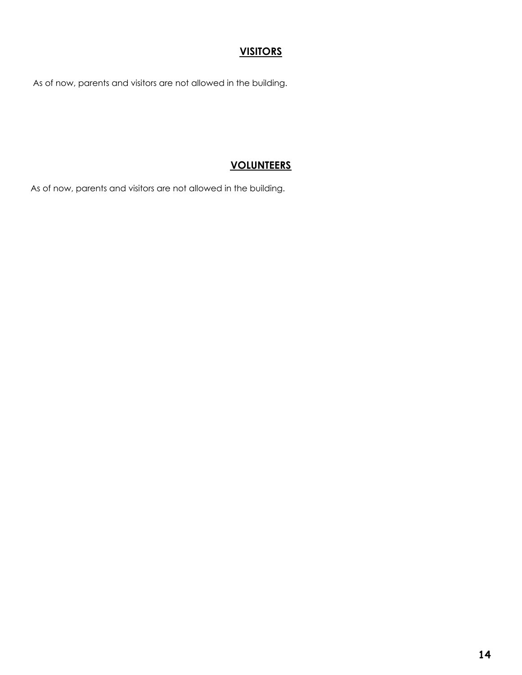#### **VISITORS**

As of now, parents and visitors are not allowed in the building.

#### **VOLUNTEERS**

As of now, parents and visitors are not allowed in the building.